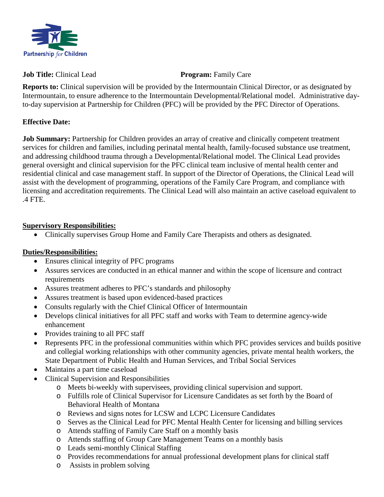

## **Job Title:** Clinical Lead **Program:** Family Care

**Reports to:** Clinical supervision will be provided by the Intermountain Clinical Director, or as designated by Intermountain, to ensure adherence to the Intermountain Developmental/Relational model. Administrative dayto-day supervision at Partnership for Children (PFC) will be provided by the PFC Director of Operations.

## **Effective Date:**

**Job Summary:** Partnership for Children provides an array of creative and clinically competent treatment services for children and families, including perinatal mental health, family-focused substance use treatment, and addressing childhood trauma through a Developmental/Relational model. The Clinical Lead provides general oversight and clinical supervision for the PFC clinical team inclusive of mental health center and residential clinical and case management staff. In support of the Director of Operations, the Clinical Lead will assist with the development of programming, operations of the Family Care Program, and compliance with licensing and accreditation requirements. The Clinical Lead will also maintain an active caseload equivalent to .4 FTE.

## **Supervisory Responsibilities:**

• Clinically supervises Group Home and Family Care Therapists and others as designated.

# **Duties/Responsibilities:**

- Ensures clinical integrity of PFC programs
- Assures services are conducted in an ethical manner and within the scope of licensure and contract requirements
- Assures treatment adheres to PFC's standards and philosophy
- Assures treatment is based upon evidenced-based practices
- Consults regularly with the Chief Clinical Officer of Intermountain
- Develops clinical initiatives for all PFC staff and works with Team to determine agency-wide enhancement
- Provides training to all PFC staff
- Represents PFC in the professional communities within which PFC provides services and builds positive and collegial working relationships with other community agencies, private mental health workers, the State Department of Public Health and Human Services, and Tribal Social Services
- Maintains a part time caseload
- Clinical Supervision and Responsibilities
	- o Meets bi-weekly with supervisees, providing clinical supervision and support.
	- o Fulfills role of Clinical Supervisor for Licensure Candidates as set forth by the Board of Behavioral Health of Montana
	- o Reviews and signs notes for LCSW and LCPC Licensure Candidates
	- o Serves as the Clinical Lead for PFC Mental Health Center for licensing and billing services
	- o Attends staffing of Family Care Staff on a monthly basis
	- o Attends staffing of Group Care Management Teams on a monthly basis
	- o Leads semi-monthly Clinical Staffing
	- o Provides recommendations for annual professional development plans for clinical staff
	- o Assists in problem solving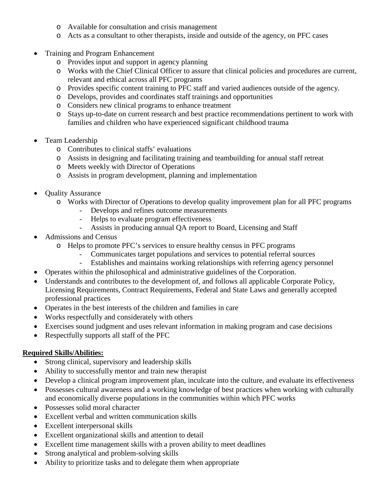- o Available for consultation and crisis management
- o Acts as a consultant to other therapists, inside and outside of the agency, on PFC cases
- Training and Program Enhancement
	- o Provides input and support in agency planning
	- o Works with the Chief Clinical Officer to assure that clinical policies and procedures are current, relevant and ethical across all PFC programs
	- o Provides specific content training to PFC staff and varied audiences outside of the agency.
	- o Develops, provides and coordinates staff trainings and opportunities
	- o Considers new clinical programs to enhance treatment
	- o Stays up-to-date on current research and best practice recommendations pertinent to work with families and children who have experienced significant childhood trauma
- Team Leadership
	- o Contributes to clinical staffs' evaluations
	- o Assists in designing and facilitating training and teambuilding for annual staff retreat
	- o Meets weekly with Director of Operations
	- o Assists in program development, planning and implementation
- Quality Assurance
	- o Works with Director of Operations to develop quality improvement plan for all PFC programs
		- Develops and refines outcome measurements
		- Helps to evaluate program effectiveness
		- Assists in producing annual QA report to Board, Licensing and Staff
- Admissions and Census
	- o Helps to promote PFC's services to ensure healthy census in PFC programs
		- Communicates target populations and services to potential referral sources
			- Establishes and maintains working relationships with referring agency personnel
- Operates within the philosophical and administrative guidelines of the Corporation.
- Understands and contributes to the development of, and follows all applicable Corporate Policy, Licensing Requirements, Contract Requirements, Federal and State Laws and generally accepted professional practices
- Operates in the best interests of the children and families in care
- Works respectfully and considerately with others
- Exercises sound judgment and uses relevant information in making program and case decisions
- Respectfully supports all staff of the PFC

# **Required Skills/Abilities:**

- Strong clinical, supervisory and leadership skills
- Ability to successfully mentor and train new therapist
- Develop a clinical program improvement plan, inculcate into the culture, and evaluate its effectiveness
- Possesses cultural awareness and a working knowledge of best practices when working with culturally and economically diverse populations in the communities within which PFC works
- Possesses solid moral character
- Excellent verbal and written communication skills
- Excellent interpersonal skills
- Excellent organizational skills and attention to detail
- Excellent time management skills with a proven ability to meet deadlines
- Strong analytical and problem-solving skills
- Ability to prioritize tasks and to delegate them when appropriate